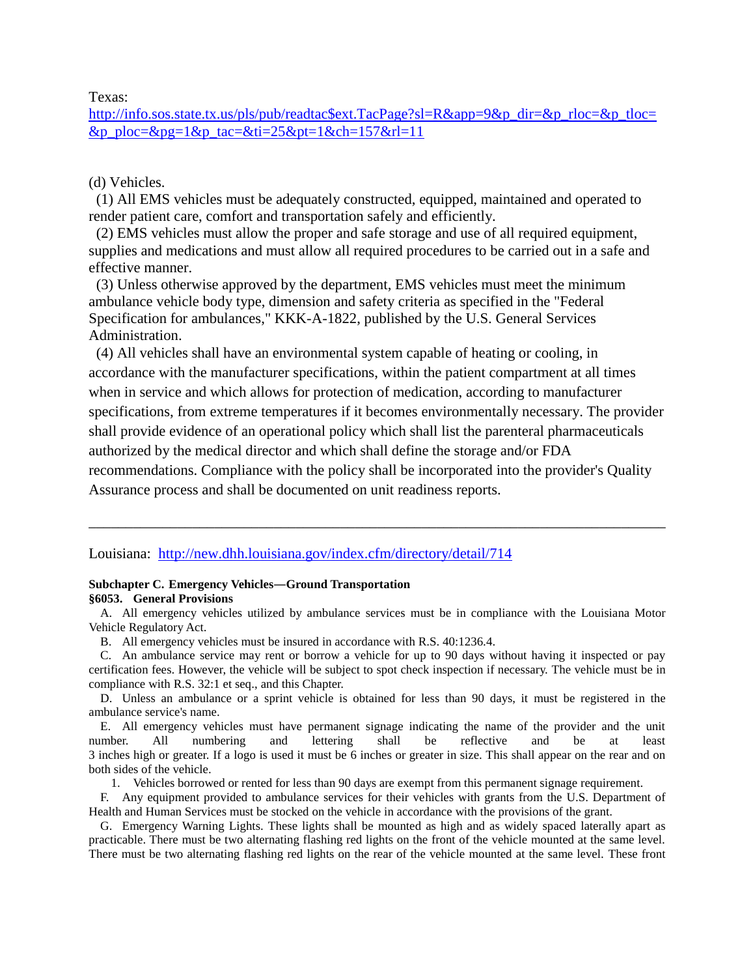Texas:

[http://info.sos.state.tx.us/pls/pub/readtac\\$ext.TacPage?sl=R&app=9&p\\_dir=&p\\_rloc=&p\\_tloc=](http://info.sos.state.tx.us/pls/pub/readtac$ext.TacPage?sl=R&app=9&p_dir=&p_rloc=&p_tloc=&p_ploc=&pg=1&p_tac=&ti=25&pt=1&ch=157&rl=11) [&p\\_ploc=&pg=1&p\\_tac=&ti=25&pt=1&ch=157&rl=11](http://info.sos.state.tx.us/pls/pub/readtac$ext.TacPage?sl=R&app=9&p_dir=&p_rloc=&p_tloc=&p_ploc=&pg=1&p_tac=&ti=25&pt=1&ch=157&rl=11)

## (d) Vehicles.

 (1) All EMS vehicles must be adequately constructed, equipped, maintained and operated to render patient care, comfort and transportation safely and efficiently.

 (2) EMS vehicles must allow the proper and safe storage and use of all required equipment, supplies and medications and must allow all required procedures to be carried out in a safe and effective manner.

 (3) Unless otherwise approved by the department, EMS vehicles must meet the minimum ambulance vehicle body type, dimension and safety criteria as specified in the "Federal Specification for ambulances," KKK-A-1822, published by the U.S. General Services Administration.

 (4) All vehicles shall have an environmental system capable of heating or cooling, in accordance with the manufacturer specifications, within the patient compartment at all times when in service and which allows for protection of medication, according to manufacturer specifications, from extreme temperatures if it becomes environmentally necessary. The provider shall provide evidence of an operational policy which shall list the parenteral pharmaceuticals authorized by the medical director and which shall define the storage and/or FDA recommendations. Compliance with the policy shall be incorporated into the provider's Quality Assurance process and shall be documented on unit readiness reports.

### Louisiana: <http://new.dhh.louisiana.gov/index.cfm/directory/detail/714>

### **Subchapter C. Emergency Vehicles―Ground Transportation §6053. General Provisions**

A. All emergency vehicles utilized by ambulance services must be in compliance with the Louisiana Motor Vehicle Regulatory Act.

\_\_\_\_\_\_\_\_\_\_\_\_\_\_\_\_\_\_\_\_\_\_\_\_\_\_\_\_\_\_\_\_\_\_\_\_\_\_\_\_\_\_\_\_\_\_\_\_\_\_\_\_\_\_\_\_\_\_\_\_\_\_\_\_\_\_\_\_\_\_\_\_\_\_\_\_\_\_

B. All emergency vehicles must be insured in accordance with R.S. 40:1236.4.

C. An ambulance service may rent or borrow a vehicle for up to 90 days without having it inspected or pay certification fees. However, the vehicle will be subject to spot check inspection if necessary. The vehicle must be in compliance with R.S. 32:1 et seq., and this Chapter.

D. Unless an ambulance or a sprint vehicle is obtained for less than 90 days, it must be registered in the ambulance service's name.

E. All emergency vehicles must have permanent signage indicating the name of the provider and the unit number. All numbering and lettering shall be reflective and be at least 3 inches high or greater. If a logo is used it must be 6 inches or greater in size. This shall appear on the rear and on both sides of the vehicle.

1. Vehicles borrowed or rented for less than 90 days are exempt from this permanent signage requirement.

F. Any equipment provided to ambulance services for their vehicles with grants from the U.S. Department of Health and Human Services must be stocked on the vehicle in accordance with the provisions of the grant.

G. Emergency Warning Lights. These lights shall be mounted as high and as widely spaced laterally apart as practicable. There must be two alternating flashing red lights on the front of the vehicle mounted at the same level. There must be two alternating flashing red lights on the rear of the vehicle mounted at the same level. These front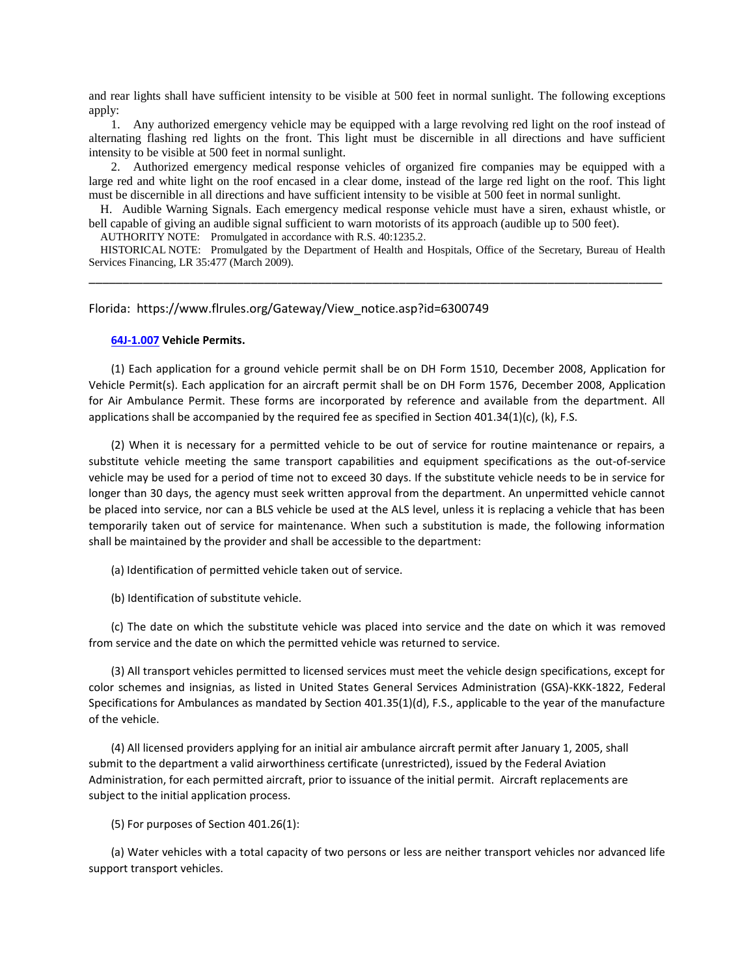and rear lights shall have sufficient intensity to be visible at 500 feet in normal sunlight. The following exceptions apply:

1. Any authorized emergency vehicle may be equipped with a large revolving red light on the roof instead of alternating flashing red lights on the front. This light must be discernible in all directions and have sufficient intensity to be visible at 500 feet in normal sunlight.

2. Authorized emergency medical response vehicles of organized fire companies may be equipped with a large red and white light on the roof encased in a clear dome, instead of the large red light on the roof. This light must be discernible in all directions and have sufficient intensity to be visible at 500 feet in normal sunlight.

H. Audible Warning Signals. Each emergency medical response vehicle must have a siren, exhaust whistle, or bell capable of giving an audible signal sufficient to warn motorists of its approach (audible up to 500 feet).

AUTHORITY NOTE: Promulgated in accordance with R.S. 40:1235.2.

HISTORICAL NOTE: Promulgated by the Department of Health and Hospitals, Office of the Secretary, Bureau of Health Services Financing, LR 35:477 (March 2009). \_\_\_\_\_\_\_\_\_\_\_\_\_\_\_\_\_\_\_\_\_\_\_\_\_\_\_\_\_\_\_\_\_\_\_\_\_\_\_\_\_\_\_\_\_\_\_\_\_\_\_\_\_\_\_\_\_\_\_\_\_\_\_\_\_\_\_\_\_\_\_\_\_\_\_\_\_\_\_\_\_\_\_\_\_

### Florida: https://www.flrules.org/Gateway/View\_notice.asp?id=6300749

#### **[64J-1.007](https://www.flrules.org/gateway/ruleNo.asp?id=64J-1.007) Vehicle Permits.**

(1) Each application for a ground vehicle permit shall be on DH Form 1510, December 2008, Application for Vehicle Permit(s). Each application for an aircraft permit shall be on DH Form 1576, December 2008, Application for Air Ambulance Permit. These forms are incorporated by reference and available from the department. All applications shall be accompanied by the required fee as specified in Section 401.34(1)(c), (k), F.S.

(2) When it is necessary for a permitted vehicle to be out of service for routine maintenance or repairs, a substitute vehicle meeting the same transport capabilities and equipment specifications as the out-of-service vehicle may be used for a period of time not to exceed 30 days. If the substitute vehicle needs to be in service for longer than 30 days, the agency must seek written approval from the department. An unpermitted vehicle cannot be placed into service, nor can a BLS vehicle be used at the ALS level, unless it is replacing a vehicle that has been temporarily taken out of service for maintenance. When such a substitution is made, the following information shall be maintained by the provider and shall be accessible to the department:

(a) Identification of permitted vehicle taken out of service.

(b) Identification of substitute vehicle.

(c) The date on which the substitute vehicle was placed into service and the date on which it was removed from service and the date on which the permitted vehicle was returned to service.

(3) All transport vehicles permitted to licensed services must meet the vehicle design specifications, except for color schemes and insignias, as listed in United States General Services Administration (GSA)-KKK-1822, Federal Specifications for Ambulances as mandated by Section 401.35(1)(d), F.S., applicable to the year of the manufacture of the vehicle.

(4) All licensed providers applying for an initial air ambulance aircraft permit after January 1, 2005, shall submit to the department a valid airworthiness certificate (unrestricted), issued by the Federal Aviation Administration, for each permitted aircraft, prior to issuance of the initial permit. Aircraft replacements are subject to the initial application process.

#### (5) For purposes of Section 401.26(1):

(a) Water vehicles with a total capacity of two persons or less are neither transport vehicles nor advanced life support transport vehicles.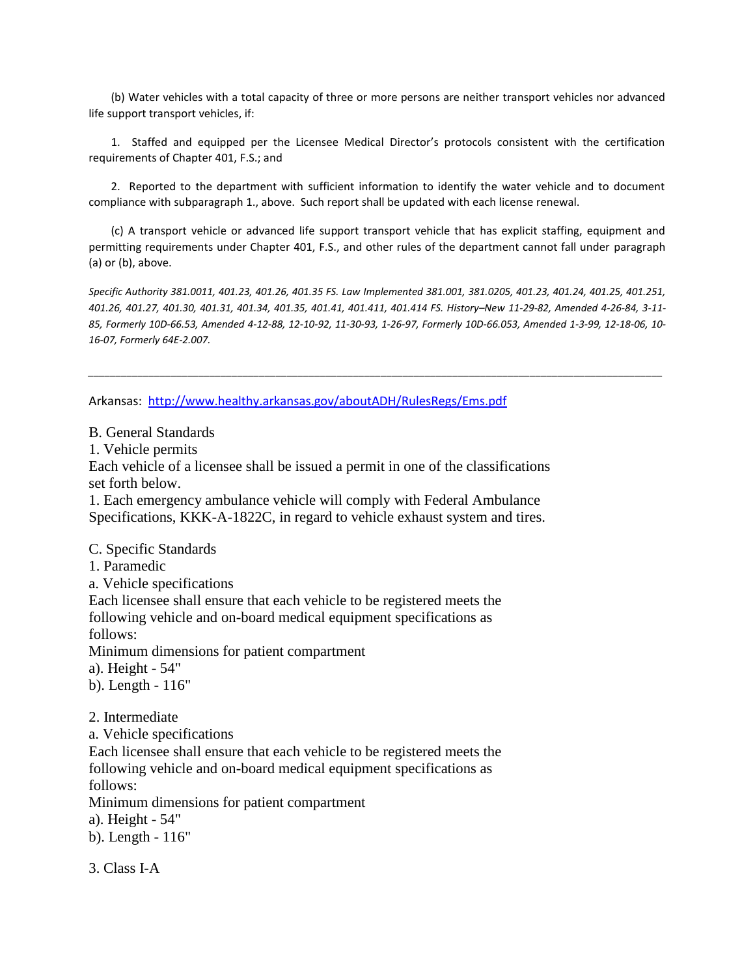(b) Water vehicles with a total capacity of three or more persons are neither transport vehicles nor advanced life support transport vehicles, if:

1. Staffed and equipped per the Licensee Medical Director's protocols consistent with the certification requirements of Chapter 401, F.S.; and

2. Reported to the department with sufficient information to identify the water vehicle and to document compliance with subparagraph 1., above. Such report shall be updated with each license renewal.

(c) A transport vehicle or advanced life support transport vehicle that has explicit staffing, equipment and permitting requirements under Chapter 401, F.S., and other rules of the department cannot fall under paragraph (a) or (b), above.

*Specific Authority 381.0011, 401.23, 401.26, 401.35 FS. Law Implemented 381.001, 381.0205, 401.23, 401.24, 401.25, 401.251, 401.26, 401.27, 401.30, 401.31, 401.34, 401.35, 401.41, 401.411, 401.414 FS. History–New 11-29-82, Amended 4-26-84, 3-11- 85, Formerly 10D-66.53, Amended 4-12-88, 12-10-92, 11-30-93, 1-26-97, Formerly 10D-66.053, Amended 1-3-99, 12-18-06, 10- 16-07, Formerly 64E-2.007.*

*\_\_\_\_\_\_\_\_\_\_\_\_\_\_\_\_\_\_\_\_\_\_\_\_\_\_\_\_\_\_\_\_\_\_\_\_\_\_\_\_\_\_\_\_\_\_\_\_\_\_\_\_\_\_\_\_\_\_\_\_\_\_\_\_\_\_\_\_\_\_\_\_\_\_\_\_\_\_\_\_\_\_\_\_\_\_\_\_\_\_\_\_\_\_\_\_\_\_\_\_\_\_\_\_*

Arkansas: <http://www.healthy.arkansas.gov/aboutADH/RulesRegs/Ems.pdf>

B. General Standards

1. Vehicle permits

Each vehicle of a licensee shall be issued a permit in one of the classifications set forth below.

1. Each emergency ambulance vehicle will comply with Federal Ambulance Specifications, KKK-A-1822C, in regard to vehicle exhaust system and tires.

C. Specific Standards

1. Paramedic

a. Vehicle specifications

Each licensee shall ensure that each vehicle to be registered meets the following vehicle and on-board medical equipment specifications as

follows:

Minimum dimensions for patient compartment

a). Height - 54"

b). Length - 116"

2. Intermediate

a. Vehicle specifications

Each licensee shall ensure that each vehicle to be registered meets the following vehicle and on-board medical equipment specifications as follows:

Minimum dimensions for patient compartment

a). Height - 54"

b). Length - 116"

3. Class I-A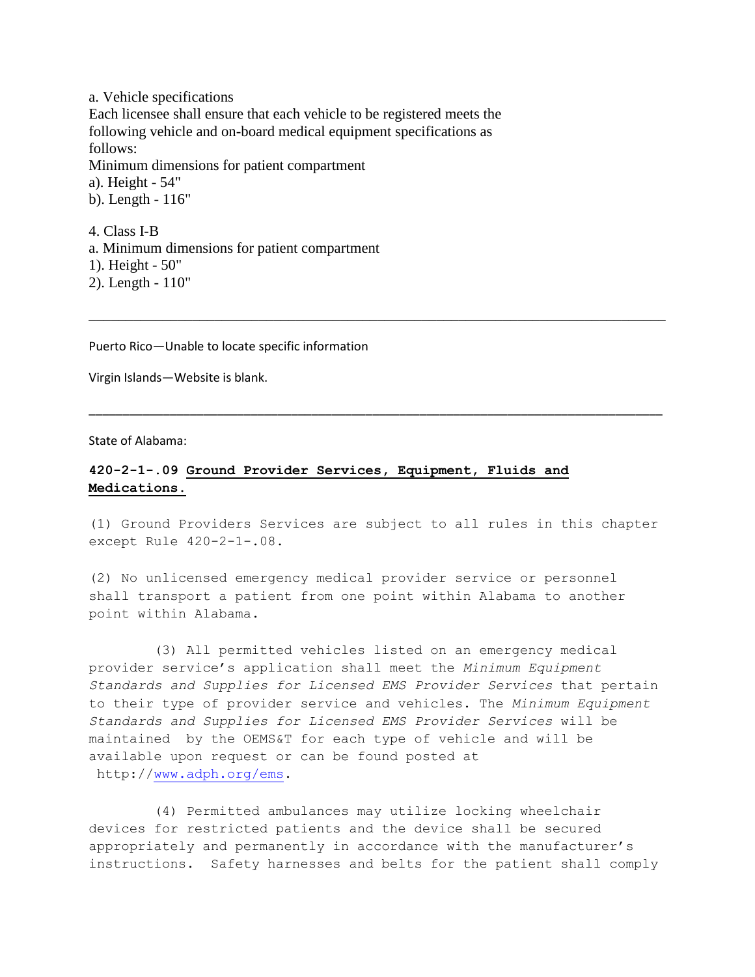a. Vehicle specifications Each licensee shall ensure that each vehicle to be registered meets the following vehicle and on-board medical equipment specifications as follows: Minimum dimensions for patient compartment a). Height - 54" b). Length - 116" 4. Class I-B

a. Minimum dimensions for patient compartment 1). Height - 50" 2). Length - 110"

Puerto Rico—Unable to locate specific information

Virgin Islands—Website is blank.

State of Alabama:

# **420-2-1-.09 Ground Provider Services, Equipment, Fluids and Medications.**

(1) Ground Providers Services are subject to all rules in this chapter except Rule 420-2-1-.08.

\_\_\_\_\_\_\_\_\_\_\_\_\_\_\_\_\_\_\_\_\_\_\_\_\_\_\_\_\_\_\_\_\_\_\_\_\_\_\_\_\_\_\_\_\_\_\_\_\_\_\_\_\_\_\_\_\_\_\_\_\_\_\_\_\_\_\_\_\_\_\_\_\_\_\_\_\_\_

\_\_\_\_\_\_\_\_\_\_\_\_\_\_\_\_\_\_\_\_\_\_\_\_\_\_\_\_\_\_\_\_\_\_\_\_\_\_\_\_\_\_\_\_\_\_\_\_\_\_\_\_\_\_\_\_\_\_\_\_\_\_\_\_\_\_\_\_\_\_\_\_\_\_\_\_\_\_\_\_\_\_\_\_\_

(2) No unlicensed emergency medical provider service or personnel shall transport a patient from one point within Alabama to another point within Alabama.

(3) All permitted vehicles listed on an emergency medical provider service's application shall meet the *Minimum Equipment Standards and Supplies for Licensed EMS Provider Services* that pertain to their type of provider service and vehicles. The *Minimum Equipment Standards and Supplies for Licensed EMS Provider Services* will be maintained by the OEMS&T for each type of vehicle and will be available upon request or can be found posted at http:/[/www.adph.org/ems.](http://www.adph.org/ems)

(4) Permitted ambulances may utilize locking wheelchair devices for restricted patients and the device shall be secured appropriately and permanently in accordance with the manufacturer's instructions. Safety harnesses and belts for the patient shall comply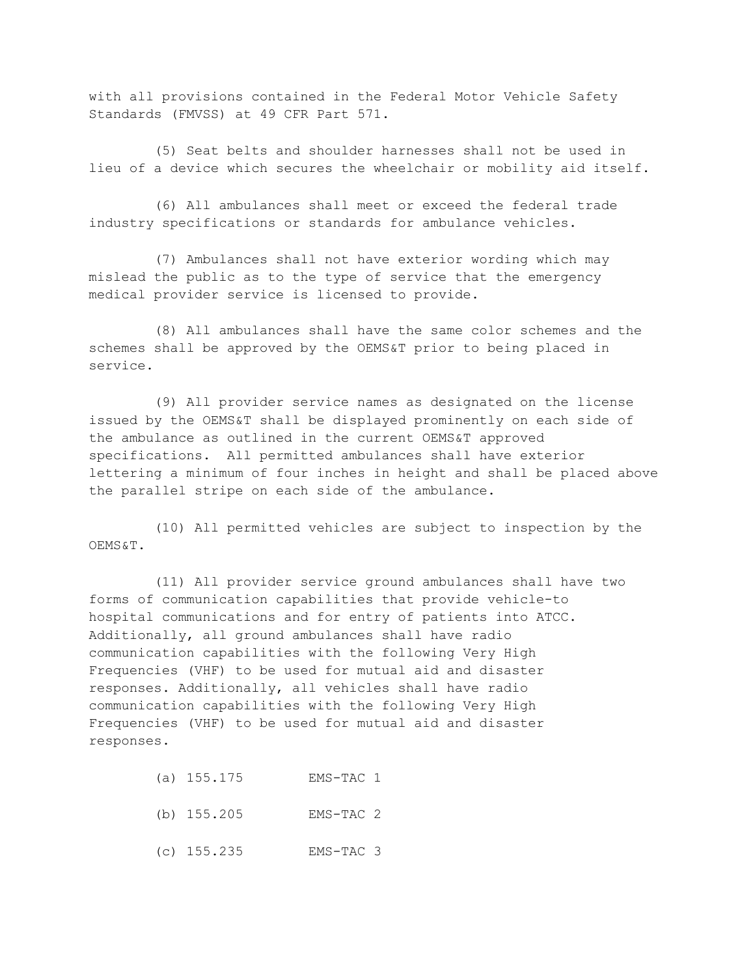with all provisions contained in the Federal Motor Vehicle Safety Standards (FMVSS) at 49 CFR Part 571.

(5) Seat belts and shoulder harnesses shall not be used in lieu of a device which secures the wheelchair or mobility aid itself.

(6) All ambulances shall meet or exceed the federal trade industry specifications or standards for ambulance vehicles.

(7) Ambulances shall not have exterior wording which may mislead the public as to the type of service that the emergency medical provider service is licensed to provide.

(8) All ambulances shall have the same color schemes and the schemes shall be approved by the OEMS&T prior to being placed in service.

(9) All provider service names as designated on the license issued by the OEMS&T shall be displayed prominently on each side of the ambulance as outlined in the current OEMS&T approved specifications. All permitted ambulances shall have exterior lettering a minimum of four inches in height and shall be placed above the parallel stripe on each side of the ambulance.

(10) All permitted vehicles are subject to inspection by the OEMS&T.

(11) All provider service ground ambulances shall have two forms of communication capabilities that provide vehicle-to hospital communications and for entry of patients into ATCC. Additionally, all ground ambulances shall have radio communication capabilities with the following Very High Frequencies (VHF) to be used for mutual aid and disaster responses. Additionally, all vehicles shall have radio communication capabilities with the following Very High Frequencies (VHF) to be used for mutual aid and disaster responses.

- (a) 155.175 EMS-TAC 1
- (b) 155.205 EMS-TAC 2
- (c) 155.235 EMS-TAC 3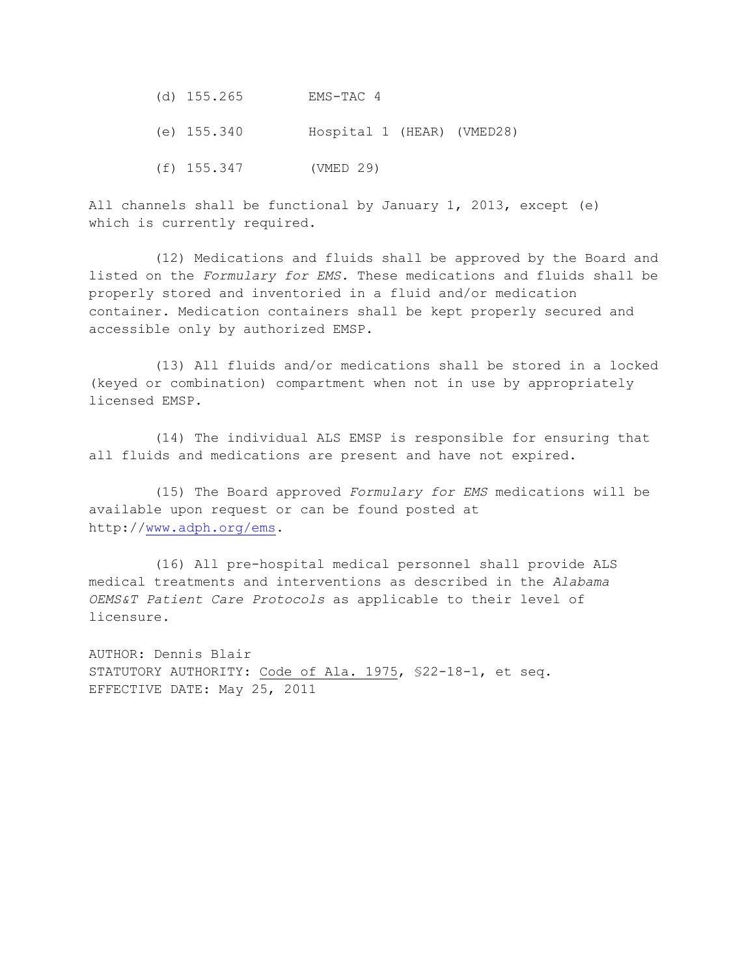- (d) 155.265 EMS-TAC 4
- (e) 155.340 Hospital 1 (HEAR) (VMED28)
- (f) 155.347 (VMED 29)

All channels shall be functional by January 1, 2013, except (e) which is currently required.

(12) Medications and fluids shall be approved by the Board and listed on the *Formulary for EMS.* These medications and fluids shall be properly stored and inventoried in a fluid and/or medication container. Medication containers shall be kept properly secured and accessible only by authorized EMSP.

(13) All fluids and/or medications shall be stored in a locked (keyed or combination) compartment when not in use by appropriately licensed EMSP.

(14) The individual ALS EMSP is responsible for ensuring that all fluids and medications are present and have not expired.

(15) The Board approved *Formulary for EMS* medications will be available upon request or can be found posted at http:/[/www.adph.org/ems.](http://www.adph.org/ems)

(16) All pre-hospital medical personnel shall provide ALS medical treatments and interventions as described in the *Alabama OEMS&T Patient Care Protocols* as applicable to their level of licensure.

AUTHOR: Dennis Blair STATUTORY AUTHORITY: Code of Ala. 1975, §22-18-1, et seq. EFFECTIVE DATE: May 25, 2011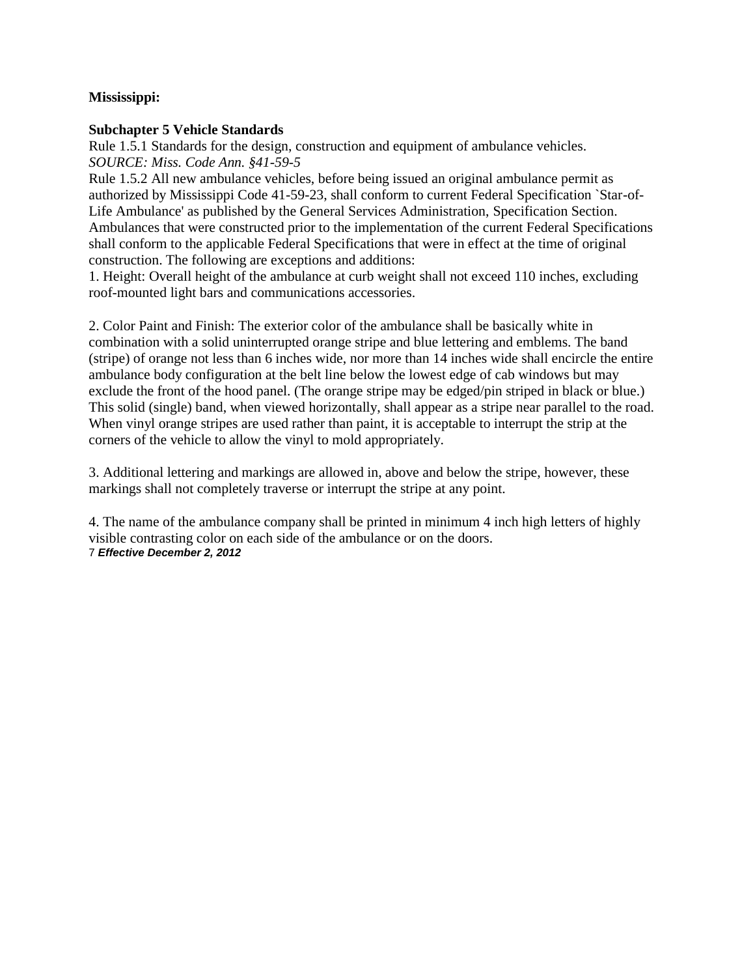# **Mississippi:**

# **Subchapter 5 Vehicle Standards**

Rule 1.5.1 Standards for the design, construction and equipment of ambulance vehicles. *SOURCE: Miss. Code Ann. §41-59-5* 

Rule 1.5.2 All new ambulance vehicles, before being issued an original ambulance permit as authorized by Mississippi Code 41-59-23, shall conform to current Federal Specification `Star-of-Life Ambulance' as published by the General Services Administration, Specification Section. Ambulances that were constructed prior to the implementation of the current Federal Specifications shall conform to the applicable Federal Specifications that were in effect at the time of original construction. The following are exceptions and additions:

1. Height: Overall height of the ambulance at curb weight shall not exceed 110 inches, excluding roof-mounted light bars and communications accessories.

2. Color Paint and Finish: The exterior color of the ambulance shall be basically white in combination with a solid uninterrupted orange stripe and blue lettering and emblems. The band (stripe) of orange not less than 6 inches wide, nor more than 14 inches wide shall encircle the entire ambulance body configuration at the belt line below the lowest edge of cab windows but may exclude the front of the hood panel. (The orange stripe may be edged/pin striped in black or blue.) This solid (single) band, when viewed horizontally, shall appear as a stripe near parallel to the road. When vinyl orange stripes are used rather than paint, it is acceptable to interrupt the strip at the corners of the vehicle to allow the vinyl to mold appropriately.

3. Additional lettering and markings are allowed in, above and below the stripe, however, these markings shall not completely traverse or interrupt the stripe at any point.

4. The name of the ambulance company shall be printed in minimum 4 inch high letters of highly visible contrasting color on each side of the ambulance or on the doors. 7 *Effective December 2, 2012*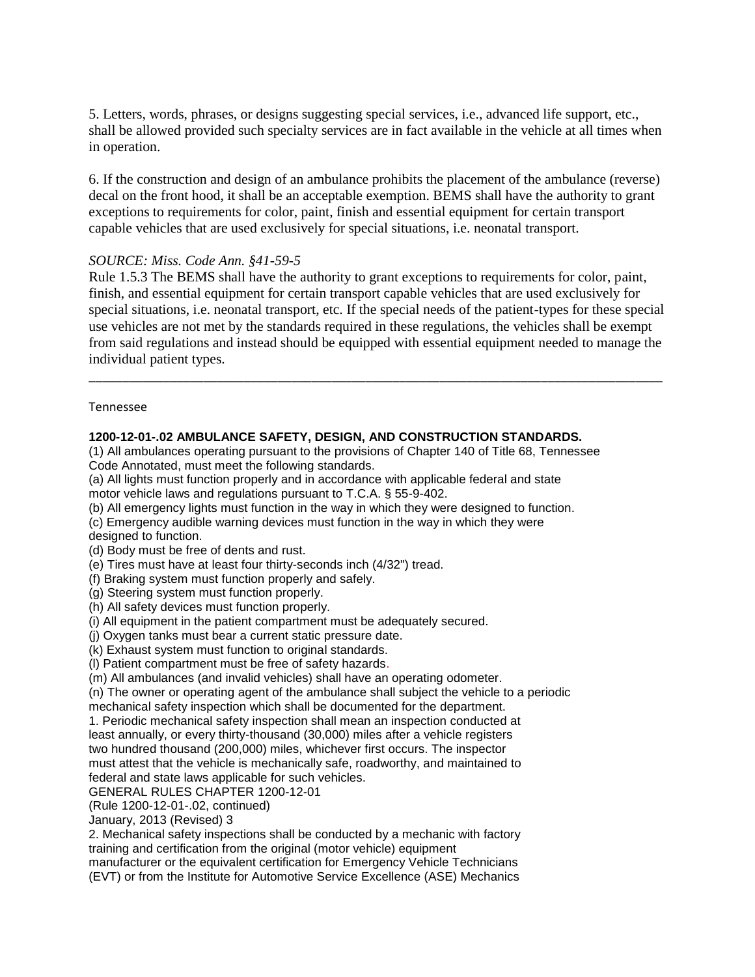5. Letters, words, phrases, or designs suggesting special services, i.e., advanced life support, etc., shall be allowed provided such specialty services are in fact available in the vehicle at all times when in operation.

6. If the construction and design of an ambulance prohibits the placement of the ambulance (reverse) decal on the front hood, it shall be an acceptable exemption. BEMS shall have the authority to grant exceptions to requirements for color, paint, finish and essential equipment for certain transport capable vehicles that are used exclusively for special situations, i.e. neonatal transport.

## *SOURCE: Miss. Code Ann. §41-59-5*

Rule 1.5.3 The BEMS shall have the authority to grant exceptions to requirements for color, paint, finish, and essential equipment for certain transport capable vehicles that are used exclusively for special situations, i.e. neonatal transport, etc. If the special needs of the patient-types for these special use vehicles are not met by the standards required in these regulations, the vehicles shall be exempt from said regulations and instead should be equipped with essential equipment needed to manage the individual patient types.

\_\_\_\_\_\_\_\_\_\_\_\_\_\_\_\_\_\_\_\_\_\_\_\_\_\_\_\_\_\_\_\_\_\_\_\_\_\_\_\_\_\_\_\_\_\_\_\_\_\_\_\_\_\_\_\_\_\_\_\_\_\_\_\_\_\_\_\_\_\_\_\_\_\_\_\_\_\_\_\_\_\_\_\_\_

### Tennessee

# **1200-12-01-.02 AMBULANCE SAFETY, DESIGN, AND CONSTRUCTION STANDARDS.**

(1) All ambulances operating pursuant to the provisions of Chapter 140 of Title 68, Tennessee Code Annotated, must meet the following standards.

(a) All lights must function properly and in accordance with applicable federal and state motor vehicle laws and regulations pursuant to T.C.A. § 55-9-402.

(b) All emergency lights must function in the way in which they were designed to function.

(c) Emergency audible warning devices must function in the way in which they were

designed to function.

(d) Body must be free of dents and rust.

(e) Tires must have at least four thirty-seconds inch (4/32") tread.

(f) Braking system must function properly and safely.

(g) Steering system must function properly.

(h) All safety devices must function properly.

(i) All equipment in the patient compartment must be adequately secured.

(j) Oxygen tanks must bear a current static pressure date.

(k) Exhaust system must function to original standards.

(l) Patient compartment must be free of safety hazards.

(m) All ambulances (and invalid vehicles) shall have an operating odometer.

(n) The owner or operating agent of the ambulance shall subject the vehicle to a periodic mechanical safety inspection which shall be documented for the department.

1. Periodic mechanical safety inspection shall mean an inspection conducted at least annually, or every thirty-thousand (30,000) miles after a vehicle registers two hundred thousand (200,000) miles, whichever first occurs. The inspector must attest that the vehicle is mechanically safe, roadworthy, and maintained to federal and state laws applicable for such vehicles.

GENERAL RULES CHAPTER 1200-12-01

(Rule 1200-12-01-.02, continued)

January, 2013 (Revised) 3

2. Mechanical safety inspections shall be conducted by a mechanic with factory training and certification from the original (motor vehicle) equipment

manufacturer or the equivalent certification for Emergency Vehicle Technicians (EVT) or from the Institute for Automotive Service Excellence (ASE) Mechanics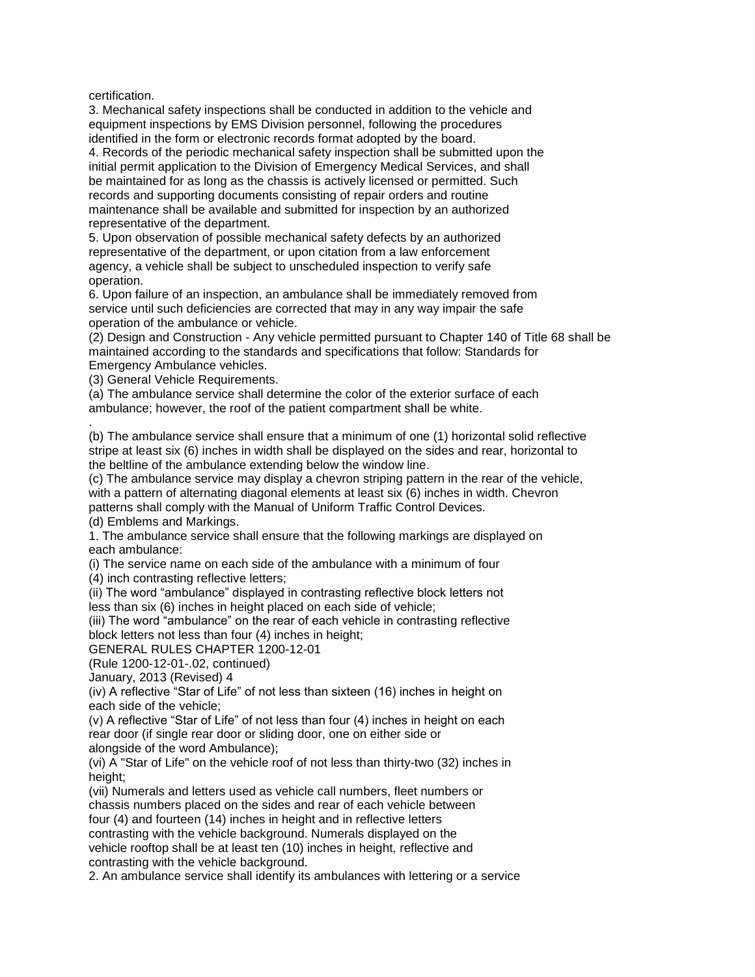certification.

.

3. Mechanical safety inspections shall be conducted in addition to the vehicle and equipment inspections by EMS Division personnel, following the procedures identified in the form or electronic records format adopted by the board.

4. Records of the periodic mechanical safety inspection shall be submitted upon the initial permit application to the Division of Emergency Medical Services, and shall be maintained for as long as the chassis is actively licensed or permitted. Such records and supporting documents consisting of repair orders and routine maintenance shall be available and submitted for inspection by an authorized representative of the department.

5. Upon observation of possible mechanical safety defects by an authorized representative of the department, or upon citation from a law enforcement agency, a vehicle shall be subject to unscheduled inspection to verify safe operation.

6. Upon failure of an inspection, an ambulance shall be immediately removed from service until such deficiencies are corrected that may in any way impair the safe operation of the ambulance or vehicle.

(2) Design and Construction - Any vehicle permitted pursuant to Chapter 140 of Title 68 shall be maintained according to the standards and specifications that follow: Standards for Emergency Ambulance vehicles.

(3) General Vehicle Requirements.

(a) The ambulance service shall determine the color of the exterior surface of each ambulance; however, the roof of the patient compartment shall be white.

(b) The ambulance service shall ensure that a minimum of one (1) horizontal solid reflective stripe at least six (6) inches in width shall be displayed on the sides and rear, horizontal to the beltline of the ambulance extending below the window line.

(c) The ambulance service may display a chevron striping pattern in the rear of the vehicle, with a pattern of alternating diagonal elements at least six (6) inches in width. Chevron patterns shall comply with the Manual of Uniform Traffic Control Devices. (d) Emblems and Markings.

1. The ambulance service shall ensure that the following markings are displayed on each ambulance:

(i) The service name on each side of the ambulance with a minimum of four

(4) inch contrasting reflective letters;

(ii) The word "ambulance" displayed in contrasting reflective block letters not less than six (6) inches in height placed on each side of vehicle;

(iii) The word "ambulance" on the rear of each vehicle in contrasting reflective block letters not less than four (4) inches in height;

GENERAL RULES CHAPTER 1200-12-01

(Rule 1200-12-01-.02, continued)

January, 2013 (Revised) 4

(iv) A reflective "Star of Life" of not less than sixteen (16) inches in height on each side of the vehicle;

(v) A reflective "Star of Life" of not less than four (4) inches in height on each rear door (if single rear door or sliding door, one on either side or alongside of the word Ambulance);

(vi) A "Star of Life" on the vehicle roof of not less than thirty-two (32) inches in height;

(vii) Numerals and letters used as vehicle call numbers, fleet numbers or chassis numbers placed on the sides and rear of each vehicle between four (4) and fourteen (14) inches in height and in reflective letters contrasting with the vehicle background. Numerals displayed on the vehicle rooftop shall be at least ten (10) inches in height*,* reflective and contrasting with the vehicle background.

2. An ambulance service shall identify its ambulances with lettering or a service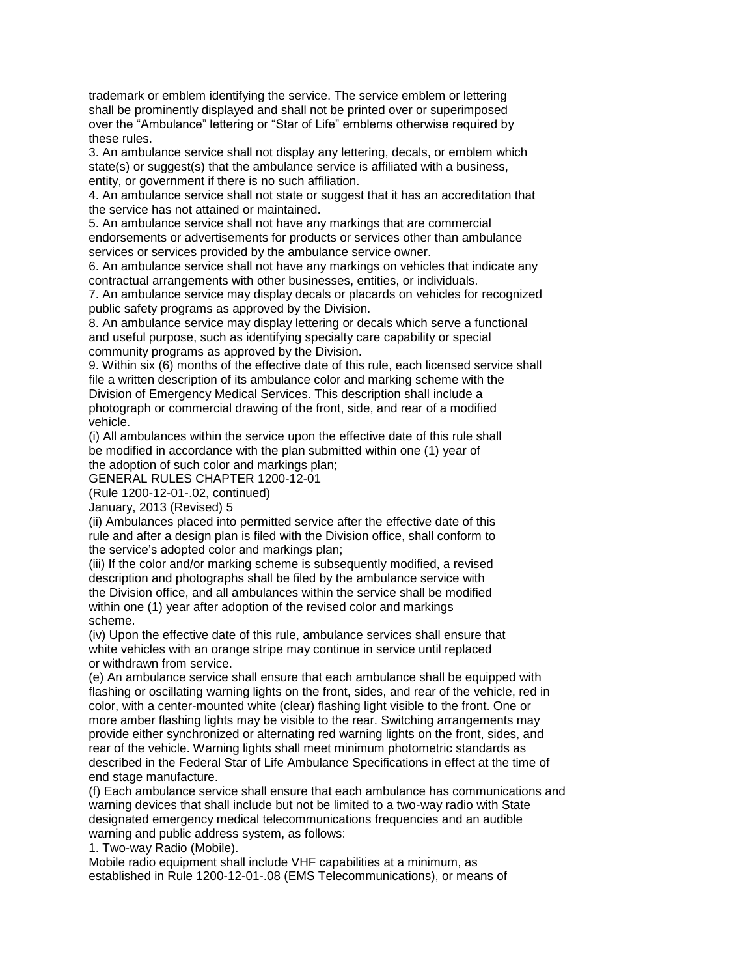trademark or emblem identifying the service. The service emblem or lettering shall be prominently displayed and shall not be printed over or superimposed over the "Ambulance" lettering or "Star of Life" emblems otherwise required by these rules.

3. An ambulance service shall not display any lettering, decals, or emblem which state(s) or suggest(s) that the ambulance service is affiliated with a business, entity, or government if there is no such affiliation.

4. An ambulance service shall not state or suggest that it has an accreditation that the service has not attained or maintained.

5. An ambulance service shall not have any markings that are commercial endorsements or advertisements for products or services other than ambulance services or services provided by the ambulance service owner.

6. An ambulance service shall not have any markings on vehicles that indicate any contractual arrangements with other businesses, entities, or individuals.

7. An ambulance service may display decals or placards on vehicles for recognized public safety programs as approved by the Division.

8. An ambulance service may display lettering or decals which serve a functional and useful purpose, such as identifying specialty care capability or special community programs as approved by the Division.

9. Within six (6) months of the effective date of this rule, each licensed service shall file a written description of its ambulance color and marking scheme with the Division of Emergency Medical Services. This description shall include a photograph or commercial drawing of the front, side, and rear of a modified vehicle.

(i) All ambulances within the service upon the effective date of this rule shall be modified in accordance with the plan submitted within one (1) year of the adoption of such color and markings plan;

GENERAL RULES CHAPTER 1200-12-01

(Rule 1200-12-01-.02, continued)

January, 2013 (Revised) 5

(ii) Ambulances placed into permitted service after the effective date of this rule and after a design plan is filed with the Division office, shall conform to the service's adopted color and markings plan;

(iii) If the color and/or marking scheme is subsequently modified, a revised description and photographs shall be filed by the ambulance service with the Division office, and all ambulances within the service shall be modified within one (1) year after adoption of the revised color and markings scheme.

(iv) Upon the effective date of this rule, ambulance services shall ensure that white vehicles with an orange stripe may continue in service until replaced or withdrawn from service.

(e) An ambulance service shall ensure that each ambulance shall be equipped with flashing or oscillating warning lights on the front, sides, and rear of the vehicle, red in color, with a center-mounted white (clear) flashing light visible to the front. One or more amber flashing lights may be visible to the rear. Switching arrangements may provide either synchronized or alternating red warning lights on the front, sides, and rear of the vehicle. Warning lights shall meet minimum photometric standards as described in the Federal Star of Life Ambulance Specifications in effect at the time of end stage manufacture.

(f) Each ambulance service shall ensure that each ambulance has communications and warning devices that shall include but not be limited to a two-way radio with State designated emergency medical telecommunications frequencies and an audible warning and public address system, as follows:

1. Two-way Radio (Mobile).

Mobile radio equipment shall include VHF capabilities at a minimum, as established in Rule 1200-12-01-.08 (EMS Telecommunications), or means of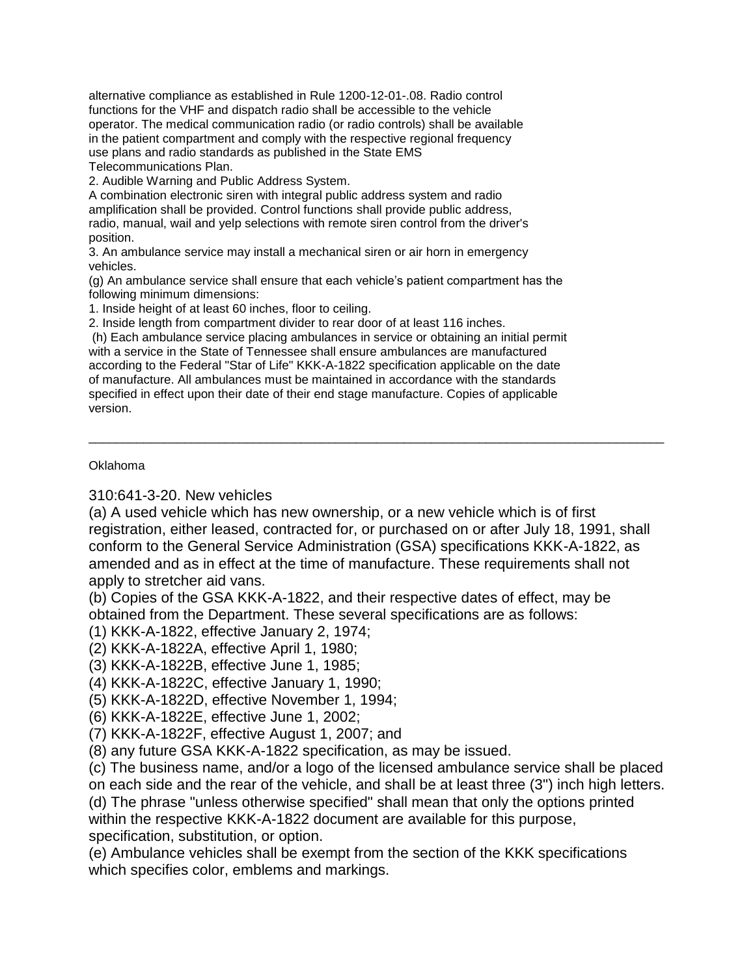alternative compliance as established in Rule 1200-12-01-.08. Radio control functions for the VHF and dispatch radio shall be accessible to the vehicle operator. The medical communication radio (or radio controls) shall be available in the patient compartment and comply with the respective regional frequency use plans and radio standards as published in the State EMS Telecommunications Plan.

2. Audible Warning and Public Address System.

A combination electronic siren with integral public address system and radio amplification shall be provided. Control functions shall provide public address, radio, manual, wail and yelp selections with remote siren control from the driver's position.

3. An ambulance service may install a mechanical siren or air horn in emergency vehicles.

(g) An ambulance service shall ensure that each vehicle's patient compartment has the following minimum dimensions:

1. Inside height of at least 60 inches, floor to ceiling.

2. Inside length from compartment divider to rear door of at least 116 inches.

(h) Each ambulance service placing ambulances in service or obtaining an initial permit with a service in the State of Tennessee shall ensure ambulances are manufactured according to the Federal "Star of Life" KKK-A-1822 specification applicable on the date of manufacture. All ambulances must be maintained in accordance with the standards specified in effect upon their date of their end stage manufacture. Copies of applicable version.

## Oklahoma

310:641-3-20. New vehicles

(a) A used vehicle which has new ownership, or a new vehicle which is of first registration, either leased, contracted for, or purchased on or after July 18, 1991, shall conform to the General Service Administration (GSA) specifications KKK-A-1822, as amended and as in effect at the time of manufacture. These requirements shall not apply to stretcher aid vans.

\_\_\_\_\_\_\_\_\_\_\_\_\_\_\_\_\_\_\_\_\_\_\_\_\_\_\_\_\_\_\_\_\_\_\_\_\_\_\_\_\_\_\_\_\_\_\_\_\_\_\_\_\_\_\_\_\_\_\_\_\_\_\_\_\_\_\_\_\_\_\_\_\_\_\_\_\_\_\_\_\_\_\_\_

(b) Copies of the GSA KKK-A-1822, and their respective dates of effect, may be obtained from the Department. These several specifications are as follows:

(1) KKK-A-1822, effective January 2, 1974;

(2) KKK-A-1822A, effective April 1, 1980;

(3) KKK-A-1822B, effective June 1, 1985;

(4) KKK-A-1822C, effective January 1, 1990;

(5) KKK-A-1822D, effective November 1, 1994;

- (6) KKK-A-1822E, effective June 1, 2002;
- (7) KKK-A-1822F, effective August 1, 2007; and

(8) any future GSA KKK-A-1822 specification, as may be issued.

(c) The business name, and/or a logo of the licensed ambulance service shall be placed

on each side and the rear of the vehicle, and shall be at least three (3") inch high letters. (d) The phrase "unless otherwise specified" shall mean that only the options printed

within the respective KKK-A-1822 document are available for this purpose, specification, substitution, or option.

(e) Ambulance vehicles shall be exempt from the section of the KKK specifications which specifies color, emblems and markings.